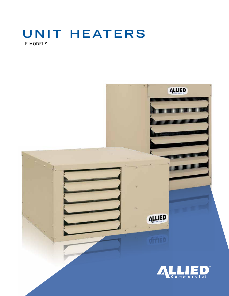# UNIT HEATERS LF MODELS

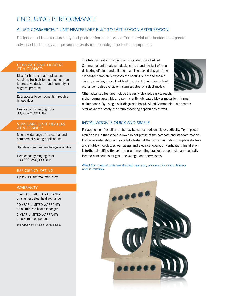## *Enduring performance*

#### *Allied commercial™ unit heaters are built to last, season after season*

Designed and built for durability and peak performance, Allied Commercial unit heaters incorporate advanced technology and proven materials into reliable, time-tested equipment.

#### *Compact unit heaters at a glance:*

Ideal for hard-to-heat applications requiring fresh air for combustion due to excessive dust, dirt and humidity or negative pressure

Easy access to components through a hinged door

Heat capacity ranging from 30,000–75,000 Btuh

#### *Standard unit heaters at a glance:*

Meet a wide range of residential and commercial heating applications

Stainless steel heat exchanger available

Heat capacity ranging from 100,000–390,000 Btuh

#### *Efficiency Rating*

Up to 81% thermal efficiency

#### *WARRANTY*

15-Year Limited Warranty on stainless steel heat exchanger

10-Year Limited Warranty on aluminized heat exchanger

1-Year Limited Warranty on covered components

See warranty certificate for actual details.

The tubular heat exchanger that is standard on all Allied Commercial unit heaters is designed to stand the test of time, delivering efficient and reliable heat. The curved design of the exchanger completely exposes the heating surface to the air stream, resulting in excellent heat transfer. This aluminum heat exchanger is also available in stainless steel on select models.



Other advanced features include the easily cleaned, easy-to-reach,

inshot burner assembly and permanently lubricated blower motor for minimal maintenance. By using a self-diagnostic board, Allied Commercial unit heaters offer advanced safety and troubleshooting capabilities as well.

#### *Installation is quick and simple*

For application flexibility, units may be vented horizontally or vertically. Tight spaces aren't an issue thanks to the low cabinet profile of the compact and standard models. For faster installation, units are fully tested at the factory, including complete start-up and shutdown cycles, as well as gas and electrical operation verification. Installation is further simplified through the use of mounting brackets or spotnuts, and centrally located connections for gas, line voltage, and thermostats.

*Allied Commercial units are stocked near you, allowing for quick delivery and installation.*

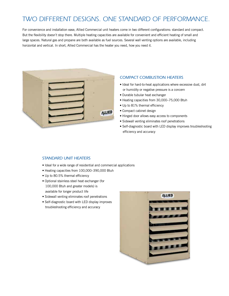# *TWO DIFFERENT DESIGNS. ONE STANDARD OF Performance.*

For convenience and installation ease, Allied Commercial unit heaters come in two different configurations: standard and compact. But the flexibility doesn't stop there. Multiple heating capacities are available for convenient and efficient heating of small and large spaces. Natural gas and propane are both available as fuel sources. Several wall venting options are available, including horizontal and vertical. In short, Allied Commercial has the heater you need, how you need it.



#### *Compact Combustion Heaters*

- Ideal for hard-to-heat applications where excessive dust, dirt or humidity or negative pressure is a concern
- Durable tubular heat exchanger
- Heating capacities from 30,000–75,000 Btuh
- Up to 81% thermal efficiency
- Compact cabinet design
- Hinged door allows easy access to components
- Sidewall venting eliminates roof penetrations
- Self-diagnostic board with LED display improves troubleshooting efficiency and accuracy

#### *Standard Unit Heaters*

- Ideal for a wide range of residential and commercial applications
- Heating capacities from 100,000–390,000 Btuh
- Up to 80.5% thermal efficiency
- Optional stainless steel heat exchanger (for 100,000 Btuh and greater models) is available for longer product life
- Sidewall venting eliminates roof penetrations
- Self-diagnostic board with LED display improves troubleshooting efficiency and accuracy

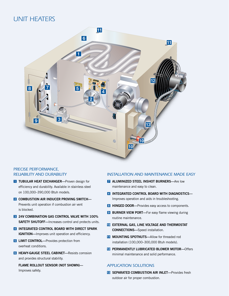# *UNIT HEATERS*



#### *PRECISE performance, reliability and durability*

- **T** TUBULAR HEAT EXCHANGER—Proven design for efficiency and durability. Available in stainless steel on 100,000–390,000 Btuh models.
- 2 COMBUSTION AIR INDUCER PROVING SWITCH-Prevents unit operation if combustion air vent is blocked.
- **8 24V COMBINATION GAS CONTROL VALVE WITH 100%** SAFETY SHUTOFF-Increases control and protects units.
- **4 INTEGRATED CONTROL BOARD WITH DIRECT SPARK** IGNITION—Improves unit operation and efficiency.
- **5 LIMIT CONTROL**—Provides protection from overheat conditions.
- **6 HEAVY-GAUGE STEEL CABINET—Resists corrosion** and provides structural stability.

Flame Rollout Sensor (not shown)— Improves safety.

#### *Installation and Maintenance made easy*

- **7** ALUMINIZED STEEL INSHOT BURNERS-Are low maintenance and easy to clean.
- 4 Integrated Control Board with Diagnostics— Improves operation and aids in troubleshooting.
- 8 HINGED DOOR—Provides easy access to components.
- 9 BURNER VIEW PORT-For easy flame viewing during routine maintenance.
- **10 EXTERNAL GAS, LINE VOLTAGE AND THERMOSTAT** CONNECTIONS-Speed installation.
- **11 MOUNTING SPOTNUTS**—Allow for threaded rod installation (100,000–300,000 Btuh models).
- 12 PERMANENTLY LUBRICATED BLOWER MOTOR-Offers minimal maintenance and solid performance.

#### *Application solutions*

**18 SEPARATED COMBUSTION AIR INLET—Provides fresh** outdoor air for proper combustion.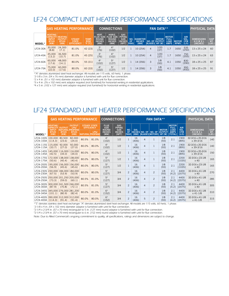# *LF24 COMPACT Unit Heater performance Specifications*

|               | <b>GAS HEATING PERFORMANCE</b>                                                  |                                                        |                                                    |                                        | <b>CONNECTIONS</b>                                                        |                                                                     |                                                                             |                  |                                                 | <b>PHYSICAL DATA</b> |                               |                                                           |                             |                                                  |                                        |                              |
|---------------|---------------------------------------------------------------------------------|--------------------------------------------------------|----------------------------------------------------|----------------------------------------|---------------------------------------------------------------------------|---------------------------------------------------------------------|-----------------------------------------------------------------------------|------------------|-------------------------------------------------|----------------------|-------------------------------|-----------------------------------------------------------|-----------------------------|--------------------------------------------------|----------------------------------------|------------------------------|
| <b>MODEL*</b> | <b>HEATING</b><br><b>CAPACITY</b><br><b>INPUT</b><br><b>BTUH</b><br><b>TKW1</b> | <b>HEATING</b><br><b>OUTPUT</b><br><b>BTUH</b><br>[KW] | <b>STEADY</b><br><b>STATE</b><br><b>EFFICIENCY</b> | <b>TEMP.</b><br><b>RISE</b><br>°F [°C] | <b>VERT.</b><br><b>FLUE SIZE</b><br><b>ROUND</b><br><b>INCHES</b><br>[MM] | HORIZ.<br><b>FLUE SIZE</b><br><b>ROUND</b><br><b>INCHES</b><br>[MM] | <b>GAS</b><br>PIPING<br><b>SIZE</b><br>INCHES <b>A</b><br><b>INPTI FANS</b> | NO.<br><b>OF</b> | <b>DIAMETER</b><br><b>INCHES</b><br><b>IMM1</b> | <b>BLADES HP [W]</b> | <b>MOTOR</b><br>NO. OF OUTPUT | <b>MOTOR</b><br><b>FULL</b><br><b>LOAD</b><br><b>AMPS</b> | <b>MOTOR</b><br><b>RPMS</b> | <b>AIR</b><br>VOL.<br><b>CFM</b><br><b>IL/S1</b> | <b>DIMENSIONS</b><br>HXWXL<br>[INCHES] | <b>SHIP</b><br>WT.<br>[LBS.] |
| LF24-30A      | 30,000<br>[8.8]                                                                 | 24,300<br>[7.1]                                        | 81.0%                                              | 42 [23]                                | 3 <sup>1</sup><br>[76]                                                    | $4^3$<br>[102]                                                      | 1/2                                                                         |                  | 10 [254]                                        | 4                    | 1/20<br>[37]                  | 1.7                                                       | 1650                        | $535$<br>[250]                                   | 13 x 25 x 24                           | 60                           |
| LF24-45A      | 45,000<br>[13.2]                                                                | 36,500<br>[10.7]                                       | 81.0%                                              | 45 [25]                                | 3 <sup>1</sup><br>$[76]$                                                  | 4 <sup>3</sup><br>[102]                                             | 1/2                                                                         |                  | 10 [254]                                        | $\overline{4}$       | 1/20<br>[37]                  | 1.7                                                       | 1650                        | 750<br>[355]                                     | 13 x 25 x 24                           | 63                           |
| LF24-60A      | 60,000<br>[17.6]                                                                | 48,000<br>[14.1]                                       | 80.0%                                              | 55 [31]                                | 4 <sup>2</sup><br>[102]                                                   | 5 <sup>4</sup><br>[127]                                             | 1/2                                                                         |                  | 14 [356]                                        | 3                    | 1/8<br>[93]                   | 4.1                                                       | 1050                        | 830<br>[390]                                     | 18 x 25 x 25                           | 87                           |
| LF24-75A      | 75,000<br>[22.0]                                                                | 60,000<br>[17.6]                                       | 80.0%                                              | 60 [33]                                | 4 <sup>2</sup><br>[102]                                                   | 5 <sup>4</sup><br>[127]                                             | 1/2                                                                         |                  | 14 [356]                                        | 3                    | 1/8<br>[93]                   | 4.1                                                       | 1050                        | 950<br>[450]                                     | 18 x 25 x 25                           | 91                           |

*\*"A" denotes aluminized steel heat exchanger. All models are 115 volts, 60 hertz, 1 phase.*

*1 2-1/8 x 3 in. (54 x 76 mm) diameter adaptor is furnished with unit for flue connection.*

*2 2 x 4 in. (51 x 102 mm) diameter adaptor is furnished with unit for flue connection.*

*3 3 x 4 in. (76 x 102 mm) vent adaptor required (not furnished) for horizontal venting in residential applications.*

*4 4 x 5 in. (102 x 127 mm) vent adaptor required (not furnished) for horizontal venting in residential applications.*

## *LF24 STANDARD Unit Heater performance Specifications*

|                        |                                                                                 | <b>GAS HEATING PERFORMANCE</b>              | <b>CONNECTIONS</b>                                                     | <b>FAN DATA**</b> |                                                                            |                                                                            |                                                                      |                          |                     |                | <b>PHYSICAL DATA</b>                                |                               |                                                                             |                                           |                                               |                              |
|------------------------|---------------------------------------------------------------------------------|---------------------------------------------|------------------------------------------------------------------------|-------------------|----------------------------------------------------------------------------|----------------------------------------------------------------------------|----------------------------------------------------------------------|--------------------------|---------------------|----------------|-----------------------------------------------------|-------------------------------|-----------------------------------------------------------------------------|-------------------------------------------|-----------------------------------------------|------------------------------|
| MODEL*                 | <b>HEATING</b><br><b>CAPACITY</b><br><b>INPUT</b><br><b>BTUH</b><br><b>TKW1</b> | <b>OUTPUT</b><br><b>BTUH</b><br><b>TKW1</b> | <b>OUTPUT</b><br>LPG/<br><b>NATURAL PROPANE</b><br><b>BTUH</b><br>[KW] |                   | <b>STEADY STATE</b><br><b>EFFICIENCY</b><br>LPG/<br><b>NATURAL PROPANE</b> | <b>FLUE</b><br><b>SIZE</b><br><b>ROUND</b><br><b>INCHES</b><br><b>IMM1</b> | <b>GAS</b><br><b>PIPING</b><br><b>SIZE</b><br><b>INCHES</b><br>[NPT] | NO.<br>OF<br><b>FANS</b> | DIA.<br><b>IMM1</b> |                | INCHES NO. OF NO. OF<br><b>BLADES MOTORS HP [W]</b> | <b>MOTOR</b><br><b>OUTPUT</b> | <b>MOTOR</b><br><b>FULL</b><br><b>LOAD</b><br><b>AMPS</b><br><b>ITOTALI</b> | <b>AIR</b><br>VOL.<br><b>CFM</b><br>IL/S1 | <b>DIMENSIONS</b><br><b>HXWXL</b><br>[INCHES] | <b>SHIP</b><br>WT.<br>[LBS.] |
| LF24-100S<br>LF24-100A | 100,000<br>[114.3]                                                              | 80,500<br>[23.6]                            | 82,000<br>[24.0]                                                       | 80.5%             | 81.0%                                                                      | 4 <sup>1</sup><br>[102]                                                    | 1/2                                                                  |                          | 16<br>[406]         | $\overline{4}$ | $\mathbf{1}$                                        | 1/8<br>[93]                   | 2.1                                                                         | 1900<br>[895]                             | 32-3/16 x 20-3/16<br>x 39-3/16                | 140                          |
| LF24-115A              | LF24-115S 115,000<br>[33.7]                                                     | 92,000<br>[27.0]                            | 92,000<br>[27.0]                                                       | 80.0%             | 80.0%                                                                      | 4 <sup>1</sup><br>[102]                                                    | 1/2                                                                  |                          | 16<br>[406]         | 4              | $\mathbf{1}$                                        | 1/8<br>[93]                   | 2.1                                                                         | 1900<br>[895]                             | 32-3/16 x 20-3/16<br>x 39-3/16                | 140                          |
| LF24-145A              | LF24-145S 145,000 116,000 116,000<br>[42.5]                                     | [34.0]                                      | [34.0]                                                                 | 80.0%             | 80.0%                                                                      | 4 <sup>1</sup><br>[102]                                                    | 1/2                                                                  |                          | 16<br>[406]         | $\overline{4}$ | $\mathbf{1}$                                        | 1/8<br>[93]                   | 2.1                                                                         | 1900<br>[895]                             | 32-3/16 x 20-3/16<br>x 39-3/16                | 150                          |
| LF24-175A              | LF24-175S 172,500 138,000 138,000<br>[50.6]                                     | [40.4]                                      | [40.4]                                                                 | 80.0%             | 80.0%                                                                      | 5 <sup>2</sup><br>[127]                                                    | 1/2                                                                  | $\mathbf{1}$             | 16<br>[406]         | $\overline{a}$ | $\mathbf{1}$                                        | 1/8<br>[93]                   | 2.1                                                                         | 2200<br>[1035]                            | 32-3/16 x 23-1/8<br>x 40                      | 165                          |
| LF24-200A              | LF24-200S 195,000<br>[56.9]                                                     | [45.6]                                      | 156,000 156,000<br>[45.6]                                              | 80.0%             | 80.0%                                                                      | 5 <sup>2</sup><br>[127]                                                    | 1/2                                                                  |                          | 16<br>[406]         | $\overline{4}$ |                                                     | 1/8<br>[93]                   | 2.1                                                                         | 2200<br>[1035]                            | 32-3/16 x 23-1/8<br>x 40                      | 165                          |
| LF24-230A              | LF24-230S 230,000 184,000 184,000<br>[67.5]                                     | [53.9]                                      | [53.9]                                                                 | 80.0%             | 80.0%                                                                      | 5 <sup>2</sup><br>[127]                                                    | 3/4                                                                  | $\overline{c}$           | 16<br>[406]         | 4              | $\overline{c}$                                      | 1/8<br>[93]                   | 2.1<br>[4.2]                                                                | 4400<br>[2075]                            | 32-3/16 x 41-1/8<br>x40                       | 270                          |
| LF24-250A              | LF24-250S 250,000 201,250 205,000<br>[73.3]                                     | [59.0]                                      | [60.1]                                                                 | 80.5%             | 81.0%                                                                      | 5 <sup>2</sup><br>[127]                                                    | 3/4                                                                  | $\overline{c}$           | 16<br>[406]         | $\overline{4}$ | $\overline{c}$                                      | 1/8<br>[93]                   | 2.1<br>[4.2]                                                                | 4400<br>[2075]                            | 32-3/16 x 41-1/8<br>x40                       | 285                          |
| LF24-300A              | LF24-300S 300,000 241,500 246,000<br>[87.9]                                     | [70.8]                                      | [72.1]                                                                 | 80.5%             | 81.0%                                                                      | 5 <sup>2</sup><br>[127]                                                    | 3/4                                                                  | $\overline{2}$           | 16<br>[406]         | $\overline{4}$ | $\overline{c}$                                      | 1/8<br>[93]                   | 2.1<br>[4.2]                                                                | 4400<br>[2075]                            | 32-3/16 x 41-1/8<br>x40                       | 305                          |
|                        | LF24-345S 345,000 276,000 281,200<br>$LF24-345A$ [101.1]                        | [80.9]                                      | [82.4]                                                                 | 80.0%             | 81.0%                                                                      | 6 <sup>3</sup><br>[152]                                                    | 3/4                                                                  | $\overline{2}$           | 16<br>[406]         | $\overline{4}$ | $\overline{c}$                                      | 1/8<br>[93]                   | 2.1<br>[4.2]                                                                | 4400<br>[2075]                            | $32 - 3/16 \times 41 - 1/8$<br>$x$ 41-1/8     | 310                          |
|                        | LF24-400S 390,000 312,000 312,000<br>LF24-400A [114.3] [91.4]                   |                                             | [91.4]                                                                 | 80.0%             | 80.0%                                                                      | 6 <sup>3</sup><br>[152]                                                    | 3/4                                                                  | $\overline{c}$           | 16<br>[406]         | 5              | $\overline{c}$                                      | 1/8<br>[93]                   | 2.1<br>[4.2]                                                                | 4400<br>[2075]                            | 32-3/16 x 41-1/8<br>$x$ 41-1/8                | 315                          |

*\*"S" denotes stainless steel heat exchanger. "A" denotes aluminized steel heat exchanger. All models are 115 volts, 60 hertz, 1 phase.*

*1 2-1/8 x 4 in. (54 x 102 mm) diameter adaptor is furnished with unit for flue connection.*

*2 2-1/4 x 2-3/4 in. (57 x 70 mm) rectangular to 5 in. (127 mm) round adaptor is furnished with unit for flue connection.*

*3 2-1/4 x 2-3/4 in. (57 x 70 mm) rectangular to 6 in. (152 mm) round adaptor is furnished with unit for flue connection.*

*Note: Due to Allied Commercial's ongoing commitment to quality, all specifications, ratings and dimensions are subject to change.*